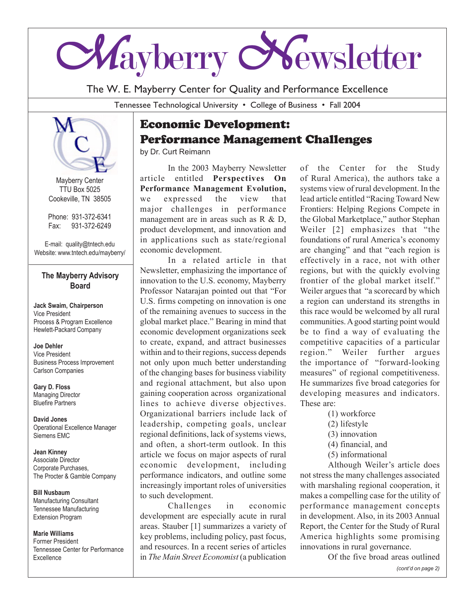

The W. E. Mayberry Center for Quality and Performance Excellence

Tennessee Technological University • College of Business • Fall 2004



Mayberry Center TTU Box 5025 Cookeville, TN 38505

Phone: 931-372-6341 Fax: 931-372-6249

E-mail: quality@tntech.edu Website: www.tntech.edu/mayberry/

### **The Mayberry Advisory Board**

**Jack Swaim, Chairperson** Vice President Process & Program Excellence Hewlett-Packard Company

**Joe Dehler** Vice President Business Process Improvement Carlson Companies

**Gary D. Floss** Managing Director Bluefire Partners

**David Jones** Operational Excellence Manager Siemens EMC

**Jean Kinney** Associate Director Corporate Purchases, The Procter & Gamble Company

**Bill Nusbaum** Manufacturing Consultant Tennessee Manufacturing Extension Program

#### **Marie Williams** Former President Tennessee Center for Performance Excellence

# Economic Development: Performance Management Challenges

by Dr. Curt Reimann

In the 2003 Mayberry Newsletter article entitled **Perspectives On Performance Management Evolution,** we expressed the view that major challenges in performance management are in areas such as R & D, product development, and innovation and in applications such as state/regional economic development.

In a related article in that Newsletter, emphasizing the importance of innovation to the U.S. economy, Mayberry Professor Natarajan pointed out that "For U.S. firms competing on innovation is one of the remaining avenues to success in the global market place." Bearing in mind that economic development organizations seek to create, expand, and attract businesses within and to their regions, success depends not only upon much better understanding of the changing bases for business viability and regional attachment, but also upon gaining cooperation across organizational lines to achieve diverse objectives. Organizational barriers include lack of leadership, competing goals, unclear regional definitions, lack of systems views, and often, a short-term outlook. In this article we focus on major aspects of rural economic development, including performance indicators, and outline some increasingly important roles of universities to such development.

Challenges in economic development are especially acute in rural areas. Stauber [1] summarizes a variety of key problems, including policy, past focus, and resources. In a recent series of articles in *The Main Street Economist* (a publication of the Center for the Study of Rural America), the authors take a systems view of rural development. In the lead article entitled "Racing Toward New Frontiers: Helping Regions Compete in the Global Marketplace," author Stephan Weiler [2] emphasizes that "the foundations of rural America's economy are changing" and that "each region is effectively in a race, not with other regions, but with the quickly evolving frontier of the global market itself." Weiler argues that "a scorecard by which a region can understand its strengths in this race would be welcomed by all rural communities. A good starting point would be to find a way of evaluating the competitive capacities of a particular region." Weiler further argues the importance of "forward-looking measures" of regional competitiveness. He summarizes five broad categories for developing measures and indicators. These are:

- (1) workforce
- (2) lifestyle
- (3) innovation
- (4) financial, and
- (5) informational

Although Weiler's article does not stress the many challenges associated with marshaling regional cooperation, it makes a compelling case for the utility of performance management concepts in development. Also, in its 2003 Annual Report, the Center for the Study of Rural America highlights some promising innovations in rural governance.

Of the five broad areas outlined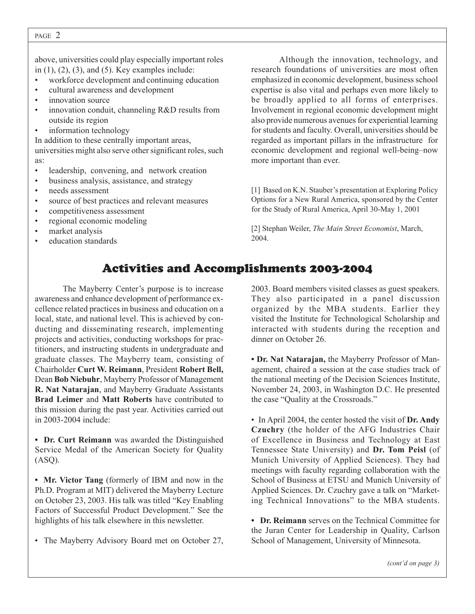#### PAGE 2

above, universities could play especially important roles in  $(1)$ ,  $(2)$ ,  $(3)$ , and  $(5)$ . Key examples include:

- workforce development and continuing education
- cultural awareness and development
- innovation source
- innovation conduit, channeling R&D results from outside its region
- information technology

In addition to these centrally important areas, universities might also serve other significant roles, such as:

- leadership, convening, and network creation
- business analysis, assistance, and strategy
- needs assessment
- source of best practices and relevant measures
- competitiveness assessment
- regional economic modeling
- market analysis
- education standards

Although the innovation, technology, and research foundations of universities are most often emphasized in economic development, business school expertise is also vital and perhaps even more likely to be broadly applied to all forms of enterprises. Involvement in regional economic development might also provide numerous avenues for experiential learning for students and faculty. Overall, universities should be regarded as important pillars in the infrastructure for economic development and regional well-being–now more important than ever.

[1] Based on K.N. Stauber's presentation at Exploring Policy Options for a New Rural America, sponsored by the Center for the Study of Rural America, April 30-May 1, 2001

[2] Stephan Weiler, *The Main Street Economist*, March, 2004.

# Activities and Accomplishments 2003-2004

The Mayberry Center's purpose is to increase awareness and enhance development of performance excellence related practices in business and education on a local, state, and national level. This is achieved by conducting and disseminating research, implementing projects and activities, conducting workshops for practitioners, and instructing students in undergraduate and graduate classes. The Mayberry team, consisting of Chairholder **Curt W. Reimann**, President **Robert Bell,** Dean **Bob Niebuhr**, Mayberry Professor of Management **R. Nat Natarajan**, and Mayberry Graduate Assistants **Brad Leimer** and **Matt Roberts** have contributed to this mission during the past year. Activities carried out in 2003-2004 include:

**• Dr. Curt Reimann** was awarded the Distinguished Service Medal of the American Society for Quality  $(ASQ).$ 

**• Mr. Victor Tang** (formerly of IBM and now in the Ph.D. Program at MIT) delivered the Mayberry Lecture on October 23, 2003. His talk was titled "Key Enabling Factors of Successful Product Development." See the highlights of his talk elsewhere in this newsletter.

• The Mayberry Advisory Board met on October 27,

2003. Board members visited classes as guest speakers. They also participated in a panel discussion organized by the MBA students. Earlier they visited the Institute for Technological Scholarship and interacted with students during the reception and dinner on October 26.

**• Dr. Nat Natarajan,** the Mayberry Professor of Management, chaired a session at the case studies track of the national meeting of the Decision Sciences Institute, November 24, 2003, in Washington D.C. He presented the case "Quality at the Crossroads."

• In April 2004, the center hosted the visit of **Dr. Andy Czuchry** (the holder of the AFG Industries Chair of Excellence in Business and Technology at East Tennessee State University) and **Dr. Tom Peisl** (of Munich University of Applied Sciences). They had meetings with faculty regarding collaboration with the School of Business at ETSU and Munich University of Applied Sciences. Dr. Czuchry gave a talk on "Marketing Technical Innovations" to the MBA students.

**• Dr. Reimann** serves on the Technical Committee for the Juran Center for Leadership in Quality, Carlson School of Management, University of Minnesota.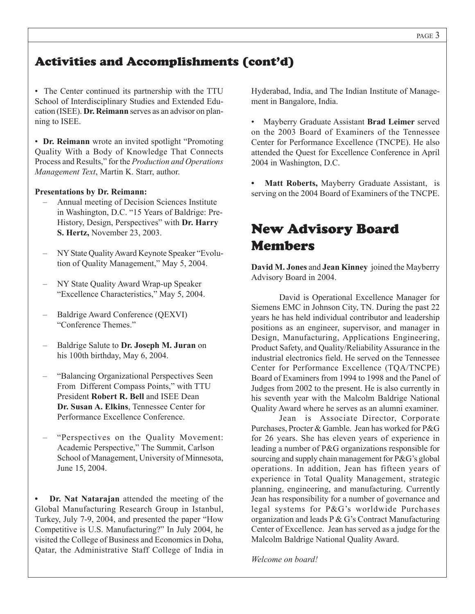# Activities and Accomplishments (cont'd)

• The Center continued its partnership with the TTU School of Interdisciplinary Studies and Extended Education (ISEE). **Dr. Reimann** serves as an advisor on planning to ISEE.

• **Dr. Reimann** wrote an invited spotlight "Promoting Quality With a Body of Knowledge That Connects Process and Results," for the *Production and Operations Management Text*, Martin K. Starr, author.

#### **Presentations by Dr. Reimann:**

- Annual meeting of Decision Sciences Institute in Washington, D.C. "15 Years of Baldrige: Pre-History, Design, Perspectives" with **Dr. Harry S. Hertz,** November 23, 2003.
- NY State Quality Award Keynote Speaker "Evolution of Quality Management," May 5, 2004.
- NY State Quality Award Wrap-up Speaker "Excellence Characteristics," May 5, 2004.
- Baldrige Award Conference (QEXVI) "Conference Themes."
- Baldrige Salute to **Dr. Joseph M. Juran** on his 100th birthday, May 6, 2004.
- "Balancing Organizational Perspectives Seen From Different Compass Points," with TTU President **Robert R. Bell** and ISEE Dean **Dr. Susan A. Elkins**, Tennessee Center for Performance Excellence Conference.
- "Perspectives on the Quality Movement: Academic Perspective," The Summit, Carlson School of Management, University of Minnesota, June 15, 2004.

**• Dr. Nat Natarajan** attended the meeting of the Global Manufacturing Research Group in Istanbul, Turkey, July 7-9, 2004, and presented the paper "How Competitive is U.S. Manufacturing?" In July 2004, he visited the College of Business and Economics in Doha, Qatar, the Administrative Staff College of India in Hyderabad, India, and The Indian Institute of Management in Bangalore, India.

• Mayberry Graduate Assistant **Brad Leimer** served on the 2003 Board of Examiners of the Tennessee Center for Performance Excellence (TNCPE). He also attended the Quest for Excellence Conference in April 2004 in Washington, D.C.

**• Matt Roberts,** Mayberry Graduate Assistant, is serving on the 2004 Board of Examiners of the TNCPE.

# New Advisory Board Members

**David M. Jones** and **Jean Kinney** joined the Mayberry Advisory Board in 2004.

David is Operational Excellence Manager for Siemens EMC in Johnson City, TN. During the past 22 years he has held individual contributor and leadership positions as an engineer, supervisor, and manager in Design, Manufacturing, Applications Engineering, Product Safety, and Quality/Reliability Assurance in the industrial electronics field. He served on the Tennessee Center for Performance Excellence (TQA/TNCPE) Board of Examiners from 1994 to 1998 and the Panel of Judges from 2002 to the present. He is also currently in his seventh year with the Malcolm Baldrige National Quality Award where he serves as an alumni examiner.

Jean is Associate Director, Corporate Purchases, Procter & Gamble. Jean has worked for P&G for 26 years. She has eleven years of experience in leading a number of P&G organizations responsible for sourcing and supply chain management for P&G's global operations. In addition, Jean has fifteen years of experience in Total Quality Management, strategic planning, engineering, and manufacturing. Currently Jean has responsibility for a number of governance and legal systems for P&G's worldwide Purchases organization and leads P & G's Contract Manufacturing Center of Excellence. Jean has served as a judge for the Malcolm Baldrige National Quality Award.

*Welcome on board!*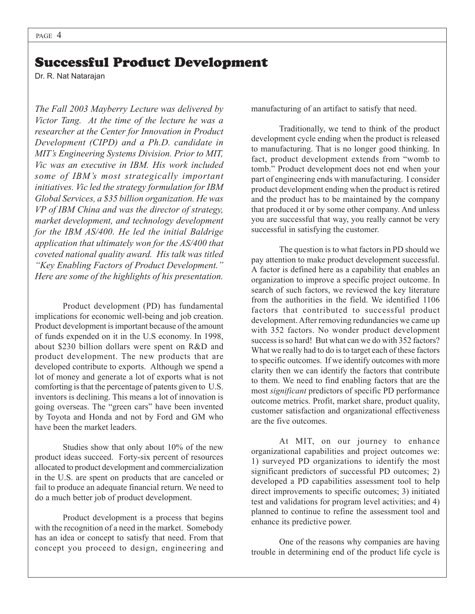### Successful Product Development

Dr. R. Nat Natarajan

*The Fall 2003 Mayberry Lecture was delivered by Victor Tang. At the time of the lecture he was a researcher at the Center for Innovation in Product Development (CIPD) and a Ph.D. candidate in MIT's Engineering Systems Division. Prior to MIT, Vic was an executive in IBM. His work included some of IBM's most strategically important initiatives. Vic led the strategy formulation for IBM Global Services, a \$35 billion organization. He was VP of IBM China and was the director of strategy, market development, and technology development for the IBM AS/400. He led the initial Baldrige application that ultimately won for the AS/400 that coveted national quality award. His talk was titled "Key Enabling Factors of Product Development." Here are some of the highlights of his presentation.*

Product development (PD) has fundamental implications for economic well-being and job creation. Product development is important because of the amount of funds expended on it in the U.S economy. In 1998, about \$230 billion dollars were spent on R&D and product development. The new products that are developed contribute to exports. Although we spend a lot of money and generate a lot of exports what is not comforting is that the percentage of patents given to U.S. inventors is declining. This means a lot of innovation is going overseas. The "green cars" have been invented by Toyota and Honda and not by Ford and GM who have been the market leaders.

Studies show that only about 10% of the new product ideas succeed. Forty-six percent of resources allocated to product development and commercialization in the U.S. are spent on products that are canceled or fail to produce an adequate financial return. We need to do a much better job of product development.

Product development is a process that begins with the recognition of a need in the market. Somebody has an idea or concept to satisfy that need. From that concept you proceed to design, engineering and

manufacturing of an artifact to satisfy that need.

Traditionally, we tend to think of the product development cycle ending when the product is released to manufacturing. That is no longer good thinking. In fact, product development extends from "womb to tomb." Product development does not end when your part of engineering ends with manufacturing. I consider product development ending when the product is retired and the product has to be maintained by the company that produced it or by some other company. And unless you are successful that way, you really cannot be very successful in satisfying the customer.

The question is to what factors in PD should we pay attention to make product development successful. A factor is defined here as a capability that enables an organization to improve a specific project outcome. In search of such factors, we reviewed the key literature from the authorities in the field. We identified 1106 factors that contributed to successful product development. After removing redundancies we came up with 352 factors. No wonder product development success is so hard! But what can we do with 352 factors? What we really had to do is to target each of these factors to specific outcomes. If we identify outcomes with more clarity then we can identify the factors that contribute to them. We need to find enabling factors that are the most *significant* predictors of specific PD performance outcome metrics. Profit, market share, product quality, customer satisfaction and organizational effectiveness are the five outcomes.

At MIT, on our journey to enhance organizational capabilities and project outcomes we: 1) surveyed PD organizations to identify the most significant predictors of successful PD outcomes; 2) developed a PD capabilities assessment tool to help direct improvements to specific outcomes; 3) initiated test and validations for program level activities; and 4) planned to continue to refine the assessment tool and enhance its predictive power.

One of the reasons why companies are having trouble in determining end of the product life cycle is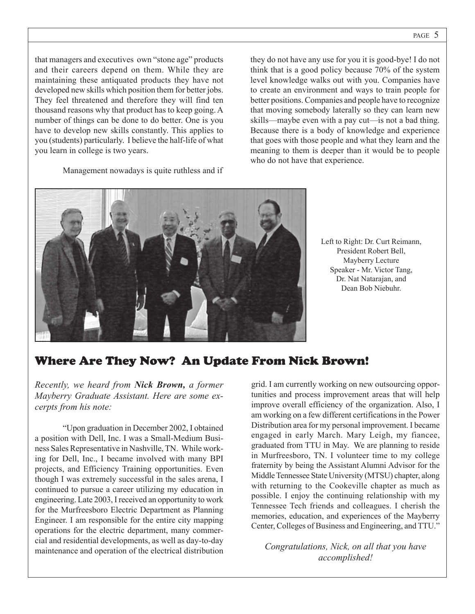that managers and executives own "stone age" products and their careers depend on them. While they are maintaining these antiquated products they have not developed new skills which position them for better jobs. They feel threatened and therefore they will find ten thousand reasons why that product has to keep going. A number of things can be done to do better. One is you have to develop new skills constantly. This applies to you (students) particularly. I believe the half-life of what you learn in college is two years.

Management nowadays is quite ruthless and if

they do not have any use for you it is good-bye! I do not think that is a good policy because 70% of the system level knowledge walks out with you. Companies have to create an environment and ways to train people for better positions. Companies and people have to recognize that moving somebody laterally so they can learn new skills—maybe even with a pay cut—is not a bad thing. Because there is a body of knowledge and experience that goes with those people and what they learn and the meaning to them is deeper than it would be to people who do not have that experience.



Left to Right: Dr. Curt Reimann, President Robert Bell, Mayberry Lecture Speaker - Mr. Victor Tang, Dr. Nat Natarajan, and Dean Bob Niebuhr.

### Where Are They Now? An Update From Nick Brown!

*Recently, we heard from Nick Brown, a former Mayberry Graduate Assistant. Here are some excerpts from his note:*

"Upon graduation in December 2002, I obtained a position with Dell, Inc. I was a Small-Medium Business Sales Representative in Nashville, TN. While working for Dell, Inc., I became involved with many BPI projects, and Efficiency Training opportunities. Even though I was extremely successful in the sales arena, I continued to pursue a career utilizing my education in engineering. Late 2003, I received an opportunity to work for the Murfreesboro Electric Department as Planning Engineer. I am responsible for the entire city mapping operations for the electric department, many commercial and residential developments, as well as day-to-day maintenance and operation of the electrical distribution

grid. I am currently working on new outsourcing opportunities and process improvement areas that will help improve overall efficiency of the organization. Also, I am working on a few different certifications in the Power Distribution area for my personal improvement. I became engaged in early March. Mary Leigh, my fiancee, graduated from TTU in May. We are planning to reside in Murfreesboro, TN. I volunteer time to my college fraternity by being the Assistant Alumni Advisor for the Middle Tennessee State University (MTSU) chapter, along with returning to the Cookeville chapter as much as possible. I enjoy the continuing relationship with my Tennessee Tech friends and colleagues. I cherish the memories, education, and experiences of the Mayberry Center, Colleges of Business and Engineering, and TTU."

*Congratulations, Nick, on all that you have accomplished!*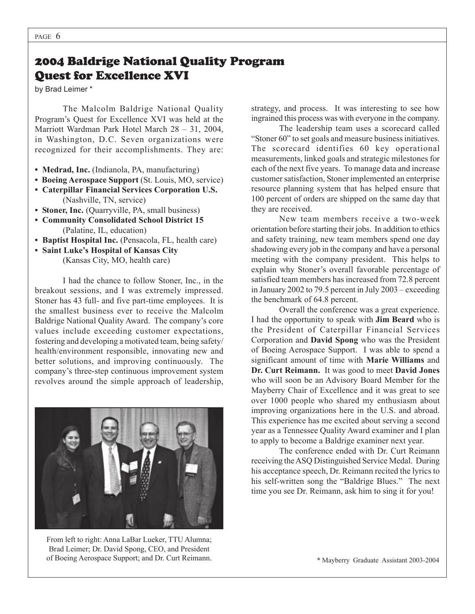### 2004 Baldrige National Quality Program Quest for Excellence XVI

by Brad Leimer \*

The Malcolm Baldrige National Quality Program's Quest for Excellence XVI was held at the Marriott Wardman Park Hotel March 28 – 31, 2004, in Washington, D.C. Seven organizations were recognized for their accomplishments. They are:

- **Medrad, Inc.** (Indianola, PA, manufacturing)
- **Boeing Aerospace Support** (St. Louis, MO, service)
- **Caterpillar Financial Services Corporation U.S.** (Nashville, TN, service)
- **Stoner, Inc.** (Quarryville, PA, small business)
- **Community Consolidated School District 15** (Palatine, IL, education)
- **Baptist Hospital Inc.** (Pensacola, FL, health care)

**• Saint Luke's Hospital of Kansas City** (Kansas City, MO, health care)

I had the chance to follow Stoner, Inc., in the breakout sessions, and I was extremely impressed. Stoner has 43 full- and five part-time employees. It is the smallest business ever to receive the Malcolm Baldrige National Quality Award. The company's core values include exceeding customer expectations, fostering and developing a motivated team, being safety/ health/environment responsible, innovating new and better solutions, and improving continuously. The company's three-step continuous improvement system revolves around the simple approach of leadership,



From left to right: Anna LaBar Lueker, TTU Alumna; Brad Leimer; Dr. David Spong, CEO, and President of Boeing Aerospace Support; and Dr. Curt Reimann.

strategy, and process. It was interesting to see how ingrained this process was with everyone in the company.

The leadership team uses a scorecard called "Stoner 60" to set goals and measure business initiatives. The scorecard identifies 60 key operational measurements, linked goals and strategic milestones for each of the next five years. To manage data and increase customer satisfaction, Stoner implemented an enterprise resource planning system that has helped ensure that 100 percent of orders are shipped on the same day that they are received.

New team members receive a two-week orientation before starting their jobs. In addition to ethics and safety training, new team members spend one day shadowing every job in the company and have a personal meeting with the company president. This helps to explain why Stoner's overall favorable percentage of satisfied team members has increased from 72.8 percent in January 2002 to 79.5 percent in July 2003 – exceeding the benchmark of 64.8 percent.

Overall the conference was a great experience. I had the opportunity to speak with **Jim Beard** who is the President of Caterpillar Financial Services Corporation and **David Spong** who was the President of Boeing Aerospace Support. I was able to spend a significant amount of time with **Marie Williams** and **Dr. Curt Reimann.** It was good to meet **David Jones** who will soon be an Advisory Board Member for the Mayberry Chair of Excellence and it was great to see over 1000 people who shared my enthusiasm about improving organizations here in the U.S. and abroad. This experience has me excited about serving a second year as a Tennessee Quality Award examiner and I plan to apply to become a Baldrige examiner next year.

The conference ended with Dr. Curt Reimann receiving the ASQ Distinguished Service Medal. During his acceptance speech, Dr. Reimann recited the lyrics to his self-written song the "Baldrige Blues." The next time you see Dr. Reimann, ask him to sing it for you!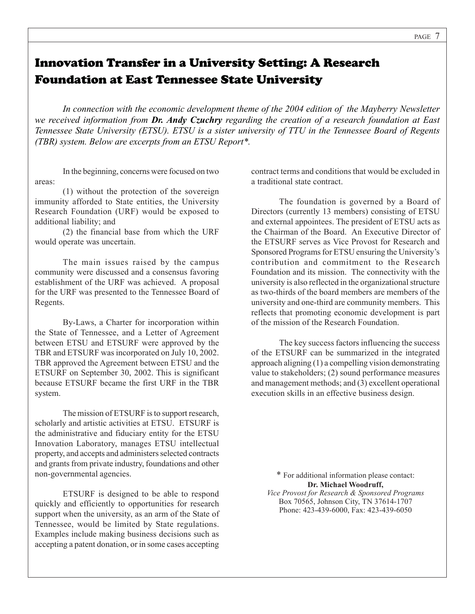# Innovation Transfer in a University Setting: A Research Foundation at East Tennessee State University

*In connection with the economic development theme of the 2004 edition of the Mayberry Newsletter we received information from Dr. Andy Czuchry regarding the creation of a research foundation at East Tennessee State University (ETSU). ETSU is a sister university of TTU in the Tennessee Board of Regents (TBR) system. Below are excerpts from an ETSU Report\*.*

In the beginning, concerns were focused on two areas:

(1) without the protection of the sovereign immunity afforded to State entities, the University Research Foundation (URF) would be exposed to additional liability; and

(2) the financial base from which the URF would operate was uncertain.

The main issues raised by the campus community were discussed and a consensus favoring establishment of the URF was achieved. A proposal for the URF was presented to the Tennessee Board of Regents.

By-Laws, a Charter for incorporation within the State of Tennessee, and a Letter of Agreement between ETSU and ETSURF were approved by the TBR and ETSURF was incorporated on July 10, 2002. TBR approved the Agreement between ETSU and the ETSURF on September 30, 2002. This is significant because ETSURF became the first URF in the TBR system.

The mission of ETSURF is to support research, scholarly and artistic activities at ETSU. ETSURF is the administrative and fiduciary entity for the ETSU Innovation Laboratory, manages ETSU intellectual property, and accepts and administers selected contracts and grants from private industry, foundations and other non-governmental agencies.

ETSURF is designed to be able to respond quickly and efficiently to opportunities for research support when the university, as an arm of the State of Tennessee, would be limited by State regulations. Examples include making business decisions such as accepting a patent donation, or in some cases accepting contract terms and conditions that would be excluded in a traditional state contract.

The foundation is governed by a Board of Directors (currently 13 members) consisting of ETSU and external appointees. The president of ETSU acts as the Chairman of the Board. An Executive Director of the ETSURF serves as Vice Provost for Research and Sponsored Programs for ETSU ensuring the University's contribution and commitment to the Research Foundation and its mission. The connectivity with the university is also reflected in the organizational structure as two-thirds of the board members are members of the university and one-third are community members. This reflects that promoting economic development is part of the mission of the Research Foundation.

The key success factors influencing the success of the ETSURF can be summarized in the integrated approach aligning (1) a compelling vision demonstrating value to stakeholders; (2) sound performance measures and management methods; and (3) excellent operational execution skills in an effective business design.

\* For additional information please contact: **Dr. Michael Woodruff,** *Vice Provost for Research & Sponsored Programs* Box 70565, Johnson City, TN 37614-1707 Phone: 423-439-6000, Fax: 423-439-6050